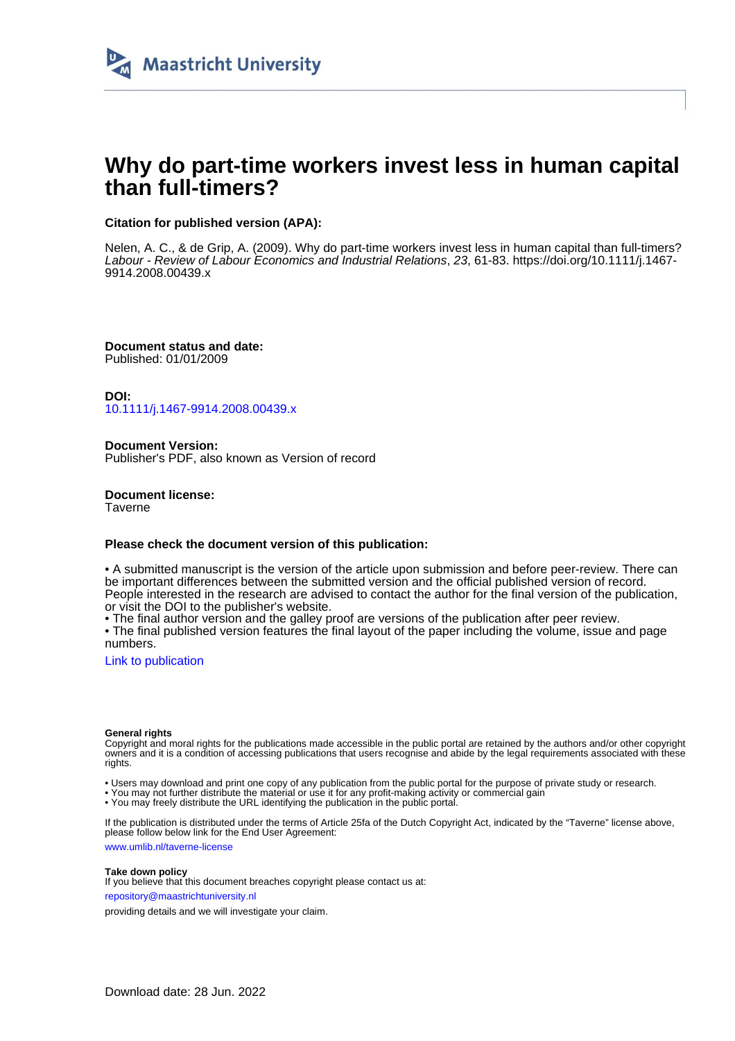

# **Why do part-time workers invest less in human capital than full-timers?**

## **Citation for published version (APA):**

Nelen, A. C., & de Grip, A. (2009). Why do part-time workers invest less in human capital than full-timers? Labour - Review of Labour Economics and Industrial Relations, 23, 61-83. [https://doi.org/10.1111/j.1467-](https://doi.org/10.1111/j.1467-9914.2008.00439.x) [9914.2008.00439.x](https://doi.org/10.1111/j.1467-9914.2008.00439.x)

**Document status and date:** Published: 01/01/2009

**DOI:** [10.1111/j.1467-9914.2008.00439.x](https://doi.org/10.1111/j.1467-9914.2008.00439.x)

**Document Version:** Publisher's PDF, also known as Version of record

**Document license: Taverne** 

## **Please check the document version of this publication:**

• A submitted manuscript is the version of the article upon submission and before peer-review. There can be important differences between the submitted version and the official published version of record. People interested in the research are advised to contact the author for the final version of the publication, or visit the DOI to the publisher's website.

• The final author version and the galley proof are versions of the publication after peer review.

• The final published version features the final layout of the paper including the volume, issue and page numbers.

[Link to publication](https://cris.maastrichtuniversity.nl/en/publications/2d30b977-3c9d-49c3-9675-42552d365f1e)

#### **General rights**

Copyright and moral rights for the publications made accessible in the public portal are retained by the authors and/or other copyright owners and it is a condition of accessing publications that users recognise and abide by the legal requirements associated with these rights.

• Users may download and print one copy of any publication from the public portal for the purpose of private study or research.

• You may not further distribute the material or use it for any profit-making activity or commercial gain

• You may freely distribute the URL identifying the publication in the public portal.

If the publication is distributed under the terms of Article 25fa of the Dutch Copyright Act, indicated by the "Taverne" license above, please follow below link for the End User Agreement:

www.umlib.nl/taverne-license

#### **Take down policy**

If you believe that this document breaches copyright please contact us at: repository@maastrichtuniversity.nl

providing details and we will investigate your claim.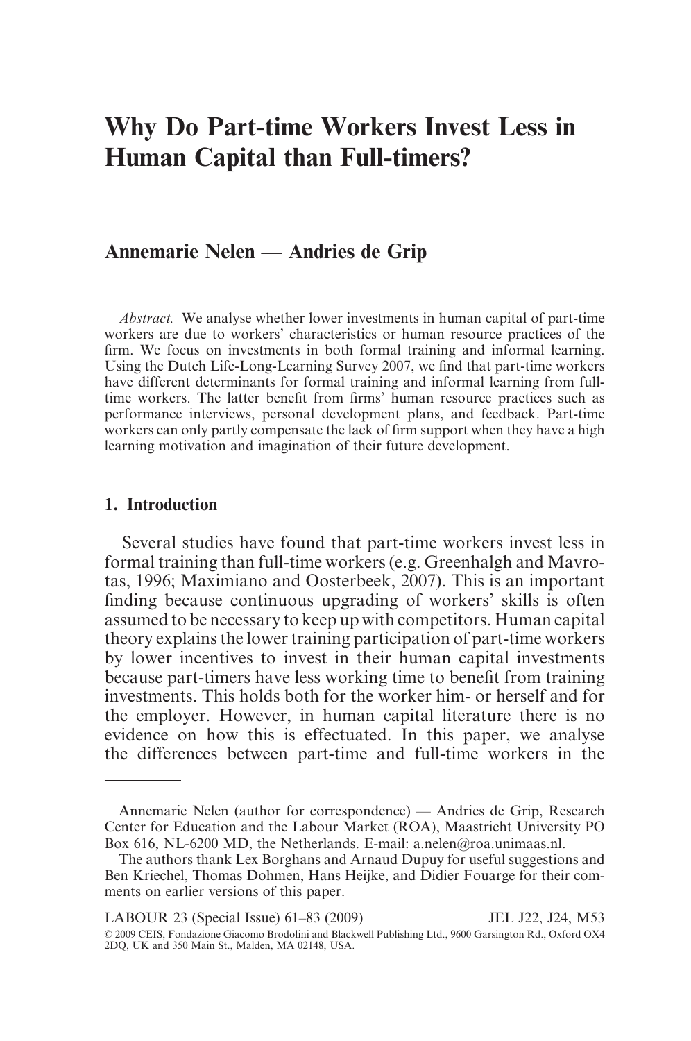# **Annemarie Nelen — Andries de Grip**

*Abstract.* We analyse whether lower investments in human capital of part-time workers are due to workers' characteristics or human resource practices of the firm. We focus on investments in both formal training and informal learning. Using the Dutch Life-Long-Learning Survey 2007, we find that part-time workers have different determinants for formal training and informal learning from fulltime workers. The latter benefit from firms' human resource practices such as performance interviews, personal development plans, and feedback. Part-time workers can only partly compensate the lack of firm support when they have a high learning motivation and imagination of their future development.

## **1. Introduction**

Several studies have found that part-time workers invest less in formal training than full-time workers (e.g. Greenhalgh and Mavrotas, 1996; Maximiano and Oosterbeek, 2007). This is an important finding because continuous upgrading of workers' skills is often assumed to be necessary to keep up with competitors. Human capital theory explains the lower training participation of part-time workers by lower incentives to invest in their human capital investments because part-timers have less working time to benefit from training investments. This holds both for the worker him- or herself and for the employer. However, in human capital literature there is no evidence on how this is effectuated. In this paper, we analyse the differences between part-time and full-time workers in the

LABOUR 23 (Special Issue) 61–83 (2009) JEL J22, J24, M53 © 2009 CEIS, Fondazione Giacomo Brodolini and Blackwell Publishing Ltd., 9600 Garsington Rd., Oxford OX4 2DQ, UK and 350 Main St., Malden, MA 02148, USA.

Annemarie Nelen (author for correspondence) — Andries de Grip, Research Center for Education and the Labour Market (ROA), Maastricht University PO Box 616, NL-6200 MD, the Netherlands. E-mail: a.[nelen@roa.unimaas.nl.](mailto:nelen@roa.unimaas.nl)

The authors thank Lex Borghans and Arnaud Dupuy for useful suggestions and Ben Kriechel, Thomas Dohmen, Hans Heijke, and Didier Fouarge for their comments on earlier versions of this paper.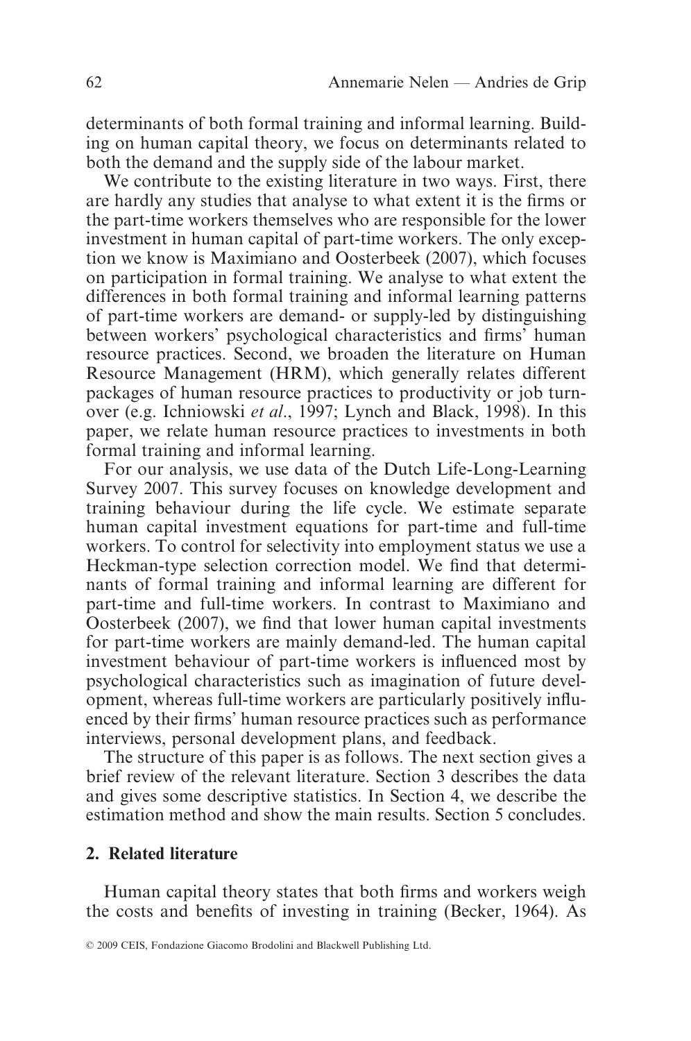determinants of both formal training and informal learning. Building on human capital theory, we focus on determinants related to both the demand and the supply side of the labour market.

We contribute to the existing literature in two ways. First, there are hardly any studies that analyse to what extent it is the firms or the part-time workers themselves who are responsible for the lower investment in human capital of part-time workers. The only exception we know is Maximiano and Oosterbeek (2007), which focuses on participation in formal training. We analyse to what extent the differences in both formal training and informal learning patterns of part-time workers are demand- or supply-led by distinguishing between workers' psychological characteristics and firms' human resource practices. Second, we broaden the literature on Human Resource Management (HRM), which generally relates different packages of human resource practices to productivity or job turnover (e.g. Ichniowski *et al*., 1997; Lynch and Black, 1998). In this paper, we relate human resource practices to investments in both formal training and informal learning.

For our analysis, we use data of the Dutch Life-Long-Learning Survey 2007. This survey focuses on knowledge development and training behaviour during the life cycle. We estimate separate human capital investment equations for part-time and full-time workers. To control for selectivity into employment status we use a Heckman-type selection correction model. We find that determinants of formal training and informal learning are different for part-time and full-time workers. In contrast to Maximiano and Oosterbeek (2007), we find that lower human capital investments for part-time workers are mainly demand-led. The human capital investment behaviour of part-time workers is influenced most by psychological characteristics such as imagination of future development, whereas full-time workers are particularly positively influenced by their firms' human resource practices such as performance interviews, personal development plans, and feedback.

The structure of this paper is as follows. The next section gives a brief review of the relevant literature. Section 3 describes the data and gives some descriptive statistics. In Section 4, we describe the estimation method and show the main results. Section 5 concludes.

## **2. Related literature**

Human capital theory states that both firms and workers weigh the costs and benefits of investing in training (Becker, 1964). As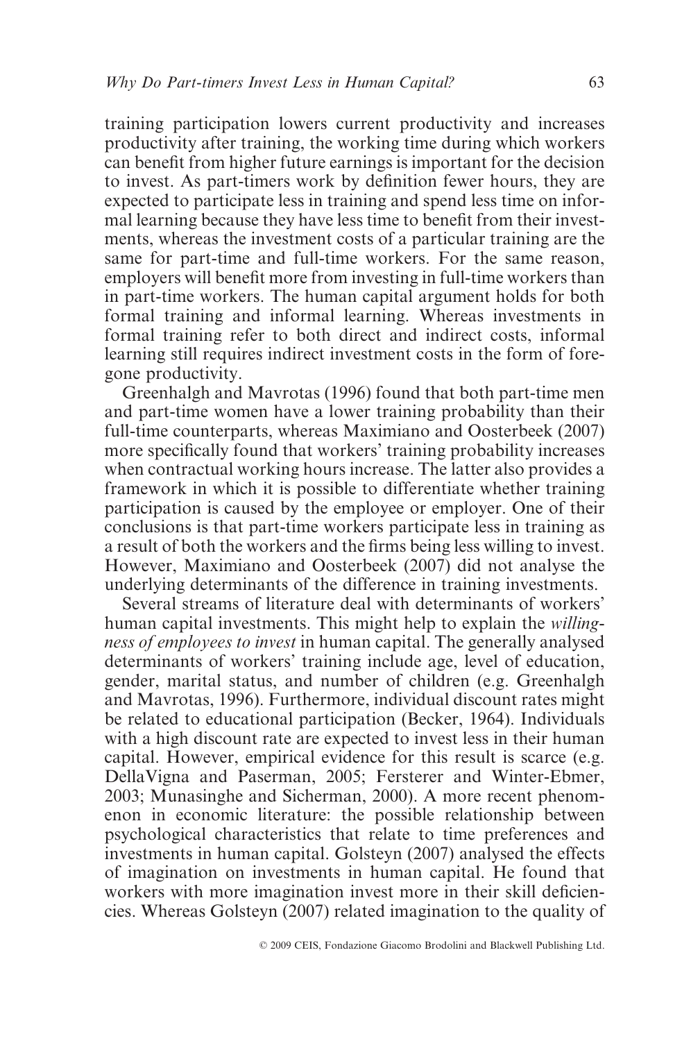training participation lowers current productivity and increases productivity after training, the working time during which workers can benefit from higher future earnings is important for the decision to invest. As part-timers work by definition fewer hours, they are expected to participate less in training and spend less time on informal learning because they have less time to benefit from their investments, whereas the investment costs of a particular training are the same for part-time and full-time workers. For the same reason, employers will benefit more from investing in full-time workers than in part-time workers. The human capital argument holds for both formal training and informal learning. Whereas investments in formal training refer to both direct and indirect costs, informal learning still requires indirect investment costs in the form of foregone productivity.

Greenhalgh and Mavrotas (1996) found that both part-time men and part-time women have a lower training probability than their full-time counterparts, whereas Maximiano and Oosterbeek (2007) more specifically found that workers' training probability increases when contractual working hours increase. The latter also provides a framework in which it is possible to differentiate whether training participation is caused by the employee or employer. One of their conclusions is that part-time workers participate less in training as a result of both the workers and the firms being less willing to invest. However, Maximiano and Oosterbeek (2007) did not analyse the underlying determinants of the difference in training investments.

Several streams of literature deal with determinants of workers' human capital investments. This might help to explain the *willingness of employees to invest* in human capital. The generally analysed determinants of workers' training include age, level of education, gender, marital status, and number of children (e.g. Greenhalgh and Mavrotas, 1996). Furthermore, individual discount rates might be related to educational participation (Becker, 1964). Individuals with a high discount rate are expected to invest less in their human capital. However, empirical evidence for this result is scarce (e.g. DellaVigna and Paserman, 2005; Fersterer and Winter-Ebmer, 2003; Munasinghe and Sicherman, 2000). A more recent phenomenon in economic literature: the possible relationship between psychological characteristics that relate to time preferences and investments in human capital. Golsteyn (2007) analysed the effects of imagination on investments in human capital. He found that workers with more imagination invest more in their skill deficiencies. Whereas Golsteyn (2007) related imagination to the quality of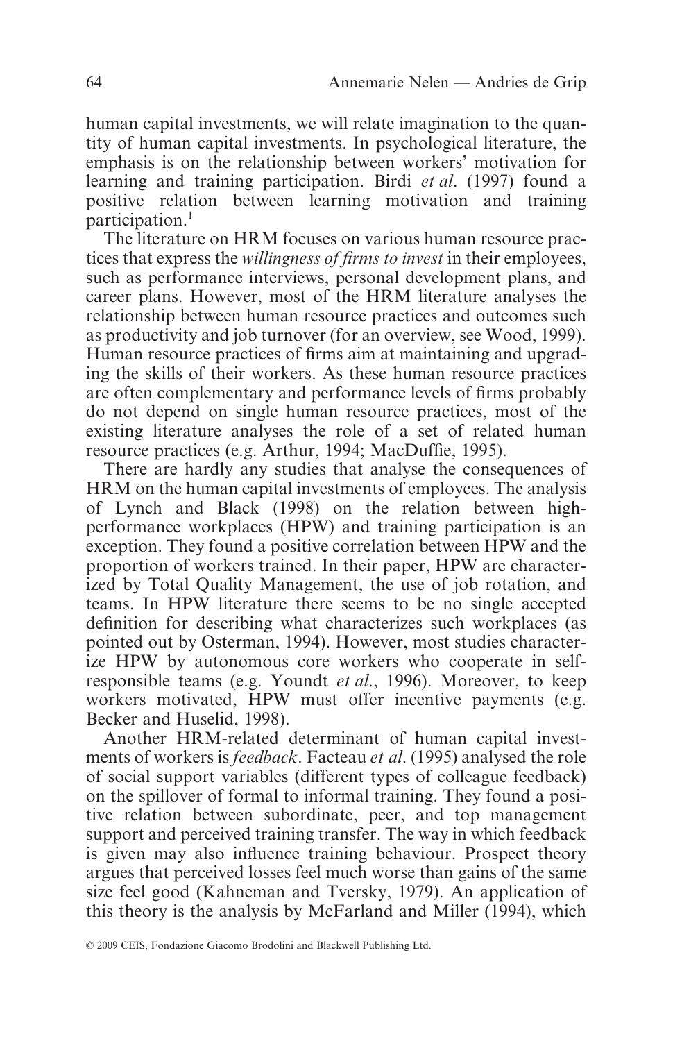human capital investments, we will relate imagination to the quantity of human capital investments. In psychological literature, the emphasis is on the relationship between workers' motivation for learning and training participation. Birdi *et al*. (1997) found a positive relation between learning motivation and training participation.<sup>1</sup>

The literature on HRM focuses on various human resource practices that express the *willingness of firms to invest* in their employees, such as performance interviews, personal development plans, and career plans. However, most of the HRM literature analyses the relationship between human resource practices and outcomes such as productivity and job turnover (for an overview, see Wood, 1999). Human resource practices of firms aim at maintaining and upgrading the skills of their workers. As these human resource practices are often complementary and performance levels of firms probably do not depend on single human resource practices, most of the existing literature analyses the role of a set of related human resource practices (e.g. Arthur, 1994; MacDuffie, 1995).

There are hardly any studies that analyse the consequences of HRM on the human capital investments of employees. The analysis of Lynch and Black (1998) on the relation between highperformance workplaces (HPW) and training participation is an exception. They found a positive correlation between HPW and the proportion of workers trained. In their paper, HPW are characterized by Total Quality Management, the use of job rotation, and teams. In HPW literature there seems to be no single accepted definition for describing what characterizes such workplaces (as pointed out by Osterman, 1994). However, most studies characterize HPW by autonomous core workers who cooperate in selfresponsible teams (e.g. Youndt *et al*., 1996). Moreover, to keep workers motivated, HPW must offer incentive payments (e.g. Becker and Huselid, 1998).

Another HRM-related determinant of human capital investments of workers is *feedback*. Facteau *et al*. (1995) analysed the role of social support variables (different types of colleague feedback) on the spillover of formal to informal training. They found a positive relation between subordinate, peer, and top management support and perceived training transfer. The way in which feedback is given may also influence training behaviour. Prospect theory argues that perceived losses feel much worse than gains of the same size feel good (Kahneman and Tversky, 1979). An application of this theory is the analysis by McFarland and Miller (1994), which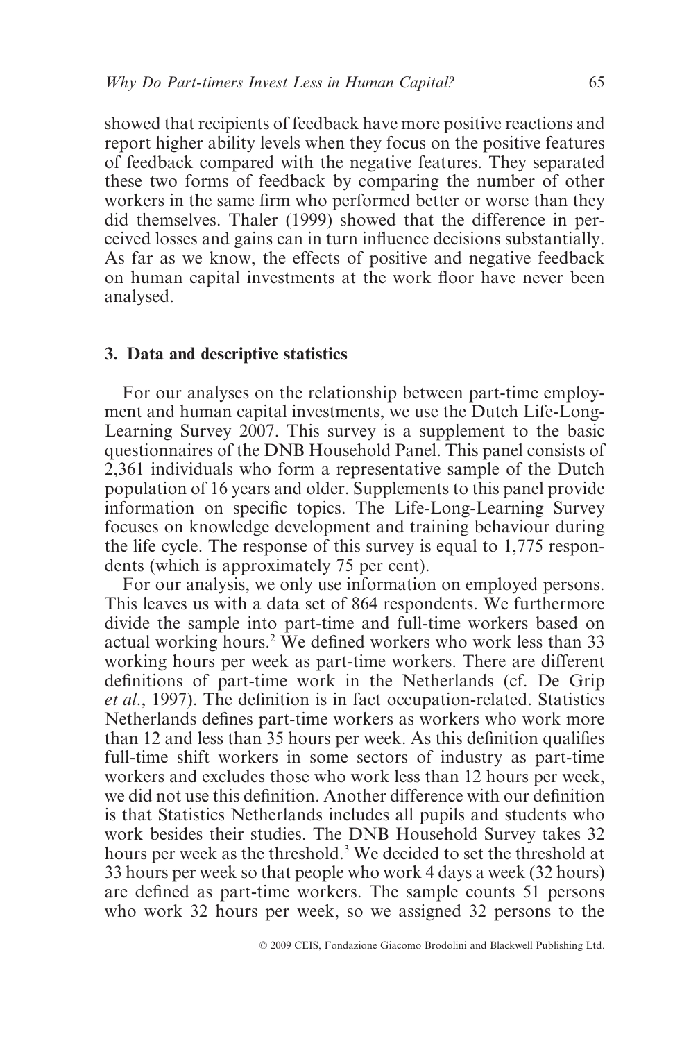showed that recipients of feedback have more positive reactions and report higher ability levels when they focus on the positive features of feedback compared with the negative features. They separated these two forms of feedback by comparing the number of other workers in the same firm who performed better or worse than they did themselves. Thaler (1999) showed that the difference in perceived losses and gains can in turn influence decisions substantially. As far as we know, the effects of positive and negative feedback on human capital investments at the work floor have never been analysed.

## **3. Data and descriptive statistics**

For our analyses on the relationship between part-time employment and human capital investments, we use the Dutch Life-Long-Learning Survey 2007. This survey is a supplement to the basic questionnaires of the DNB Household Panel. This panel consists of 2,361 individuals who form a representative sample of the Dutch population of 16 years and older. Supplements to this panel provide information on specific topics. The Life-Long-Learning Survey focuses on knowledge development and training behaviour during the life cycle. The response of this survey is equal to 1,775 respondents (which is approximately 75 per cent).

For our analysis, we only use information on employed persons. This leaves us with a data set of 864 respondents. We furthermore divide the sample into part-time and full-time workers based on actual working hours.2 We defined workers who work less than 33 working hours per week as part-time workers. There are different definitions of part-time work in the Netherlands (cf. De Grip *et al*., 1997). The definition is in fact occupation-related. Statistics Netherlands defines part-time workers as workers who work more than 12 and less than 35 hours per week. As this definition qualifies full-time shift workers in some sectors of industry as part-time workers and excludes those who work less than 12 hours per week, we did not use this definition. Another difference with our definition is that Statistics Netherlands includes all pupils and students who work besides their studies. The DNB Household Survey takes 32 hours per week as the threshold.<sup>3</sup> We decided to set the threshold at 33 hours per week so that people who work 4 days a week (32 hours) are defined as part-time workers. The sample counts 51 persons who work 32 hours per week, so we assigned 32 persons to the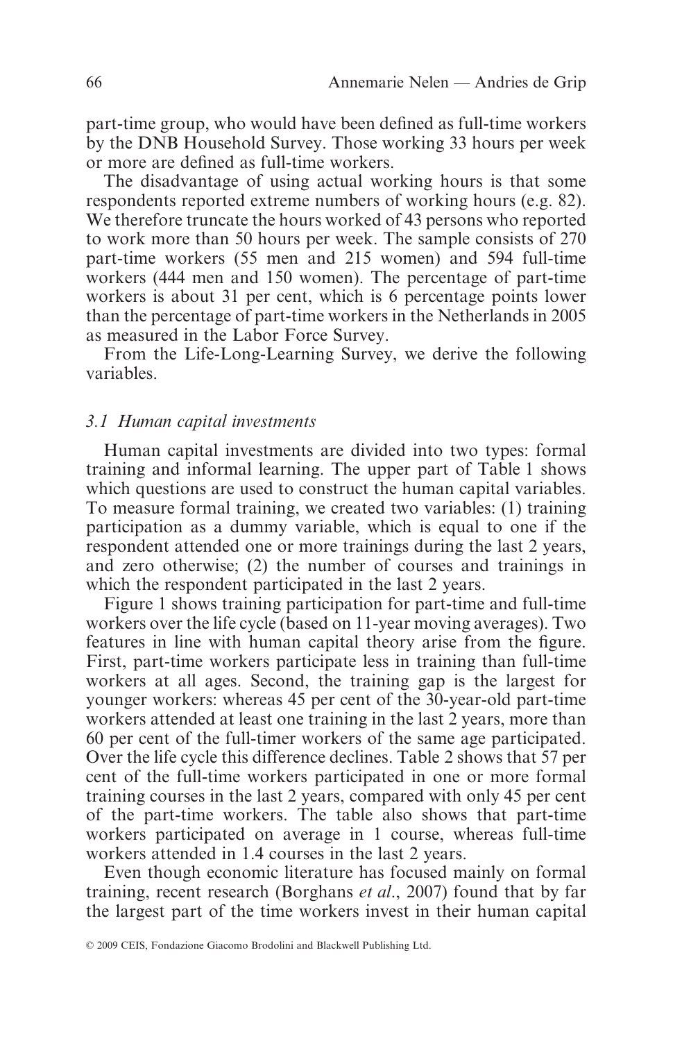part-time group, who would have been defined as full-time workers by the DNB Household Survey. Those working 33 hours per week or more are defined as full-time workers.

The disadvantage of using actual working hours is that some respondents reported extreme numbers of working hours (e.g. 82). We therefore truncate the hours worked of 43 persons who reported to work more than 50 hours per week. The sample consists of 270 part-time workers (55 men and 215 women) and 594 full-time workers (444 men and 150 women). The percentage of part-time workers is about 31 per cent, which is 6 percentage points lower than the percentage of part-time workers in the Netherlands in 2005 as measured in the Labor Force Survey.

From the Life-Long-Learning Survey, we derive the following variables.

## *3.1 Human capital investments*

Human capital investments are divided into two types: formal training and informal learning. The upper part of Table 1 shows which questions are used to construct the human capital variables. To measure formal training, we created two variables: (1) training participation as a dummy variable, which is equal to one if the respondent attended one or more trainings during the last 2 years, and zero otherwise; (2) the number of courses and trainings in which the respondent participated in the last 2 years.

Figure 1 shows training participation for part-time and full-time workers over the life cycle (based on 11-year moving averages). Two features in line with human capital theory arise from the figure. First, part-time workers participate less in training than full-time workers at all ages. Second, the training gap is the largest for younger workers: whereas 45 per cent of the 30-year-old part-time workers attended at least one training in the last 2 years, more than 60 per cent of the full-timer workers of the same age participated. Over the life cycle this difference declines. Table 2 shows that 57 per cent of the full-time workers participated in one or more formal training courses in the last 2 years, compared with only 45 per cent of the part-time workers. The table also shows that part-time workers participated on average in 1 course, whereas full-time workers attended in 1.4 courses in the last 2 years.

Even though economic literature has focused mainly on formal training, recent research (Borghans *et al*., 2007) found that by far the largest part of the time workers invest in their human capital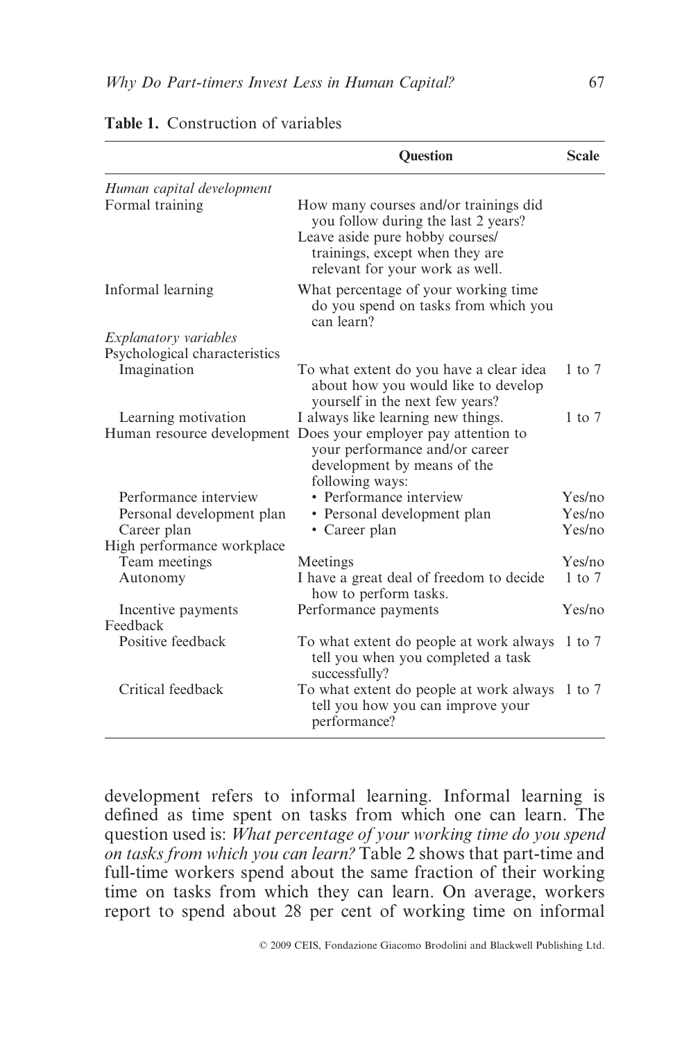|                               | <b>Ouestion</b>                                                                                                                                                                       | <b>Scale</b> |
|-------------------------------|---------------------------------------------------------------------------------------------------------------------------------------------------------------------------------------|--------------|
| Human capital development     |                                                                                                                                                                                       |              |
| Formal training               | How many courses and/or trainings did<br>you follow during the last 2 years?<br>Leave aside pure hobby courses/<br>trainings, except when they are<br>relevant for your work as well. |              |
| Informal learning             | What percentage of your working time<br>do you spend on tasks from which you<br>can learn?                                                                                            |              |
| <i>Explanatory variables</i>  |                                                                                                                                                                                       |              |
| Psychological characteristics |                                                                                                                                                                                       |              |
| Imagination                   | To what extent do you have a clear idea<br>about how you would like to develop<br>yourself in the next few years?                                                                     | $1$ to $7$   |
| Learning motivation           | I always like learning new things.                                                                                                                                                    | $1$ to $7$   |
|                               | Human resource development Does your employer pay attention to<br>your performance and/or career<br>development by means of the<br>following ways:                                    |              |
| Performance interview         | • Performance interview                                                                                                                                                               | Yes/no       |
| Personal development plan     | · Personal development plan                                                                                                                                                           | Yes/no       |
| Career plan                   | • Career plan                                                                                                                                                                         | Yes/no       |
| High performance workplace    |                                                                                                                                                                                       |              |
| Team meetings                 | Meetings                                                                                                                                                                              | Yes/no       |
| Autonomy                      | I have a great deal of freedom to decide<br>how to perform tasks.                                                                                                                     | $1$ to $7$   |
| Incentive payments            | Performance payments                                                                                                                                                                  | Yes/no       |
| Feedback                      |                                                                                                                                                                                       |              |
| Positive feedback             | To what extent do people at work always 1 to 7<br>tell you when you completed a task<br>successfully?                                                                                 |              |
| Critical feedback             | To what extent do people at work always 1 to 7<br>tell you how you can improve your<br>performance?                                                                                   |              |

| <b>Table 1.</b> Construction of variables |
|-------------------------------------------|
|-------------------------------------------|

development refers to informal learning. Informal learning is defined as time spent on tasks from which one can learn. The question used is: *What percentage of your working time do you spend on tasks from which you can learn?* Table 2 shows that part-time and full-time workers spend about the same fraction of their working time on tasks from which they can learn. On average, workers report to spend about 28 per cent of working time on informal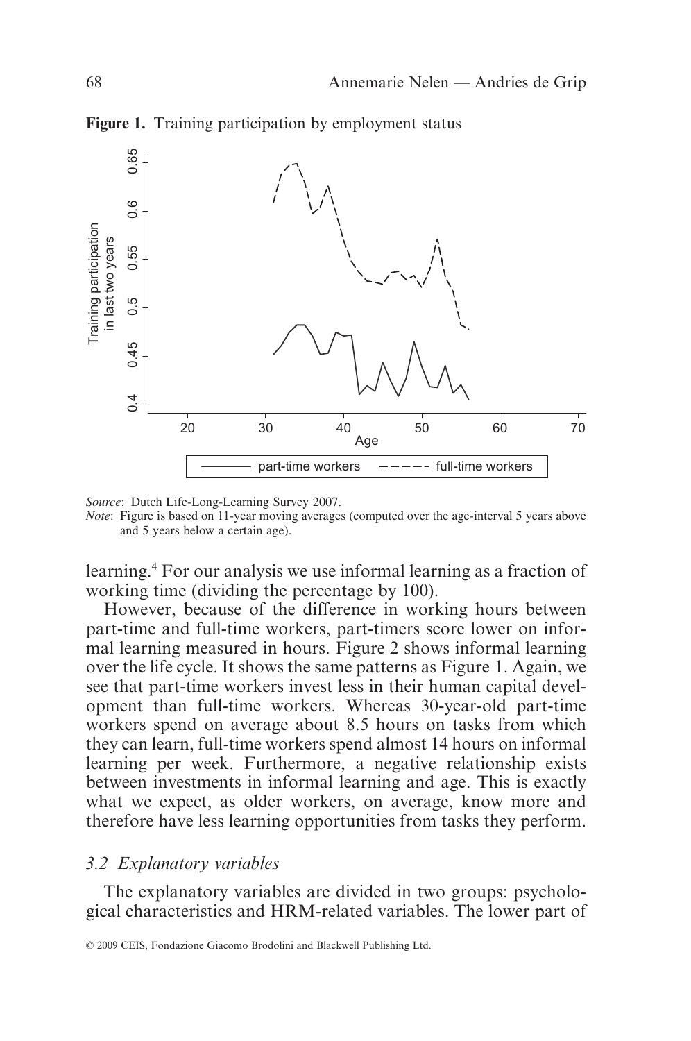

**Figure 1.** Training participation by employment status

*Source*: Dutch Life-Long-Learning Survey 2007.

*Note*: Figure is based on 11-year moving averages (computed over the age-interval 5 years above and 5 years below a certain age).

learning.4 For our analysis we use informal learning as a fraction of working time (dividing the percentage by 100).

However, because of the difference in working hours between part-time and full-time workers, part-timers score lower on informal learning measured in hours. Figure 2 shows informal learning over the life cycle. It shows the same patterns as Figure 1. Again, we see that part-time workers invest less in their human capital development than full-time workers. Whereas 30-year-old part-time workers spend on average about 8.5 hours on tasks from which they can learn, full-time workers spend almost 14 hours on informal learning per week. Furthermore, a negative relationship exists between investments in informal learning and age. This is exactly what we expect, as older workers, on average, know more and therefore have less learning opportunities from tasks they perform.

#### *3.2 Explanatory variables*

The explanatory variables are divided in two groups: psychological characteristics and HRM-related variables. The lower part of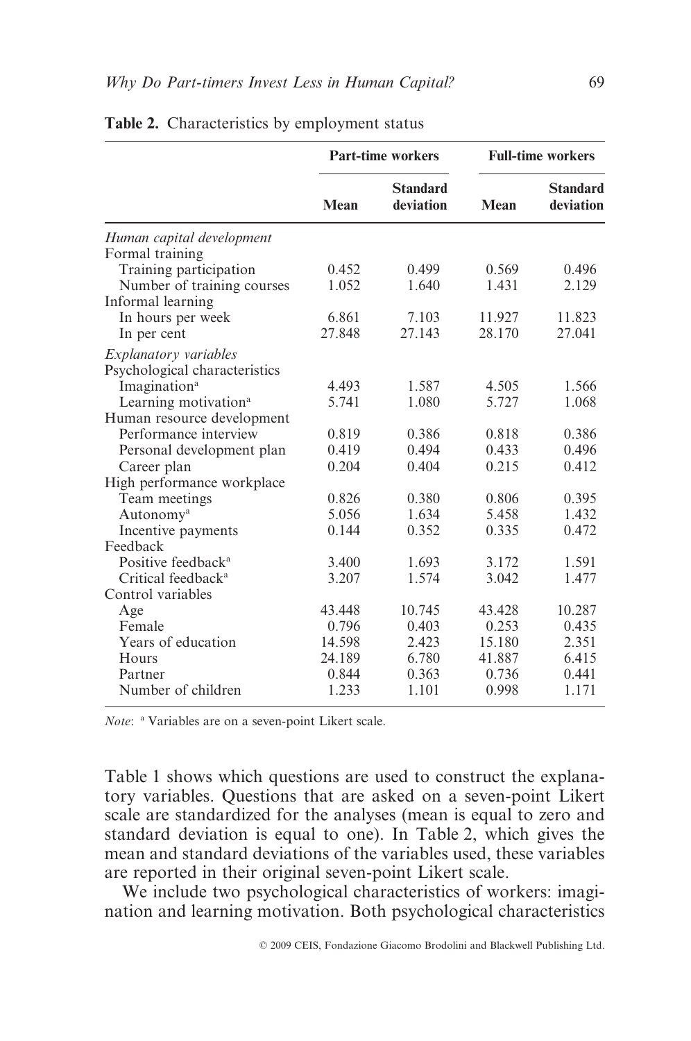|                                  | <b>Part-time workers</b> |                              | <b>Full-time workers</b> |                              |
|----------------------------------|--------------------------|------------------------------|--------------------------|------------------------------|
|                                  | Mean                     | <b>Standard</b><br>deviation | Mean                     | <b>Standard</b><br>deviation |
| Human capital development        |                          |                              |                          |                              |
| Formal training                  |                          |                              |                          |                              |
| Training participation           | 0.452                    | 0.499                        | 0.569                    | 0.496                        |
| Number of training courses       | 1.052                    | 1.640                        | 1.431                    | 2.129                        |
| Informal learning                |                          |                              |                          |                              |
| In hours per week                | 6.861                    | 7.103                        | 11.927                   | 11.823                       |
| In per cent                      | 27.848                   | 27.143                       | 28.170                   | 27.041                       |
| <i>Explanatory variables</i>     |                          |                              |                          |                              |
| Psychological characteristics    |                          |                              |                          |                              |
| Imagination <sup>a</sup>         | 4.493                    | 1.587                        | 4.505                    | 1.566                        |
| Learning motivation <sup>a</sup> | 5.741                    | 1.080                        | 5.727                    | 1.068                        |
| Human resource development       |                          |                              |                          |                              |
| Performance interview            | 0.819                    | 0.386                        | 0.818                    | 0.386                        |
| Personal development plan        | 0.419                    | 0.494                        | 0.433                    | 0.496                        |
| Career plan                      | 0.204                    | 0.404                        | 0.215                    | 0.412                        |
| High performance workplace       |                          |                              |                          |                              |
| Team meetings                    | 0.826                    | 0.380                        | 0.806                    | 0.395                        |
| Autonomy <sup>a</sup>            | 5.056                    | 1.634                        | 5.458                    | 1.432                        |
| Incentive payments               | 0.144                    | 0.352                        | 0.335                    | 0.472                        |
| Feedback                         |                          |                              |                          |                              |
| Positive feedback <sup>a</sup>   | 3.400                    | 1.693                        | 3.172                    | 1.591                        |
| Critical feedback <sup>a</sup>   | 3.207                    | 1.574                        | 3.042                    | 1.477                        |
| Control variables                |                          |                              |                          |                              |
| Age                              | 43.448                   | 10.745                       | 43.428                   | 10.287                       |
| Female                           | 0.796                    | 0.403                        | 0.253                    | 0.435                        |
| Years of education               | 14.598                   | 2.423                        | 15.180                   | 2.351                        |
| Hours                            | 24.189                   | 6.780                        | 41.887                   | 6.415                        |
| Partner                          | 0.844                    | 0.363                        | 0.736                    | 0.441                        |
| Number of children               | 1.233                    | 1.101                        | 0.998                    | 1.171                        |

**Table 2.** Characteristics by employment status

*Note*: <sup>a</sup> Variables are on a seven-point Likert scale.

Table 1 shows which questions are used to construct the explanatory variables. Questions that are asked on a seven-point Likert scale are standardized for the analyses (mean is equal to zero and standard deviation is equal to one). In Table 2, which gives the mean and standard deviations of the variables used, these variables are reported in their original seven-point Likert scale.

We include two psychological characteristics of workers: imagination and learning motivation. Both psychological characteristics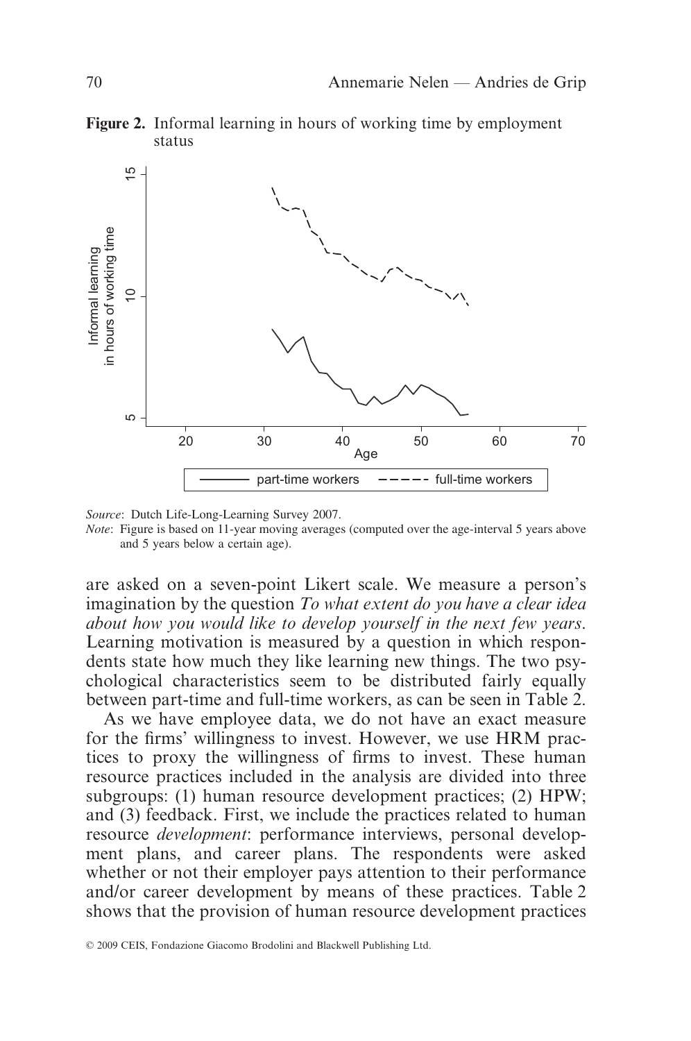**Figure 2.** Informal learning in hours of working time by employment status



*Source*: Dutch Life-Long-Learning Survey 2007. *Note*: Figure is based on 11-year moving averages (computed over the age-interval 5 years above and 5 years below a certain age).

are asked on a seven-point Likert scale. We measure a person's imagination by the question *To what extent do you have a clear idea about how you would like to develop yourself in the next few years*. Learning motivation is measured by a question in which respondents state how much they like learning new things. The two psychological characteristics seem to be distributed fairly equally between part-time and full-time workers, as can be seen in Table 2.

As we have employee data, we do not have an exact measure for the firms' willingness to invest. However, we use HRM practices to proxy the willingness of firms to invest. These human resource practices included in the analysis are divided into three subgroups: (1) human resource development practices; (2) HPW; and (3) feedback. First, we include the practices related to human resource *development*: performance interviews, personal development plans, and career plans. The respondents were asked whether or not their employer pays attention to their performance and/or career development by means of these practices. Table 2 shows that the provision of human resource development practices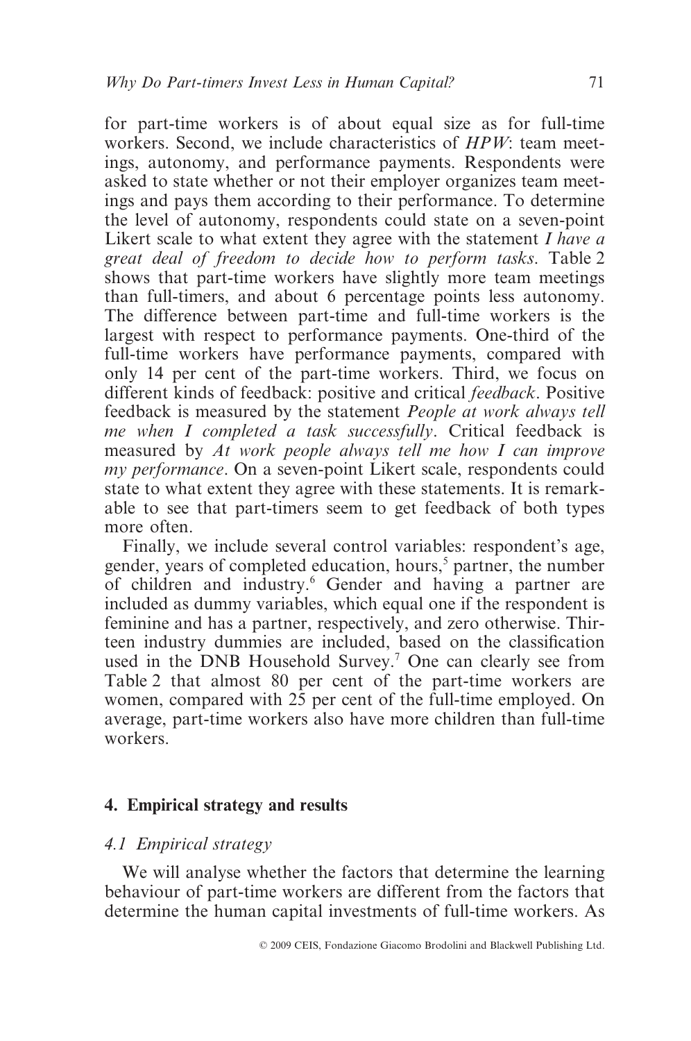for part-time workers is of about equal size as for full-time workers. Second, we include characteristics of *HPW*: team meetings, autonomy, and performance payments. Respondents were asked to state whether or not their employer organizes team meetings and pays them according to their performance. To determine the level of autonomy, respondents could state on a seven-point Likert scale to what extent they agree with the statement *I have a great deal of freedom to decide how to perform tasks*. Table 2 shows that part-time workers have slightly more team meetings than full-timers, and about 6 percentage points less autonomy. The difference between part-time and full-time workers is the largest with respect to performance payments. One-third of the full-time workers have performance payments, compared with only 14 per cent of the part-time workers. Third, we focus on different kinds of feedback: positive and critical *feedback*. Positive feedback is measured by the statement *People at work always tell me when I completed a task successfully*. Critical feedback is measured by *At work people always tell me how I can improve my performance*. On a seven-point Likert scale, respondents could state to what extent they agree with these statements. It is remarkable to see that part-timers seem to get feedback of both types more often.

Finally, we include several control variables: respondent's age, gender, years of completed education, hours,<sup>5</sup> partner, the number of children and industry.6 Gender and having a partner are included as dummy variables, which equal one if the respondent is feminine and has a partner, respectively, and zero otherwise. Thirteen industry dummies are included, based on the classification used in the DNB Household Survey.<sup>7</sup> One can clearly see from Table 2 that almost 80 per cent of the part-time workers are women, compared with 25 per cent of the full-time employed. On average, part-time workers also have more children than full-time workers.

## **4. Empirical strategy and results**

## *4.1 Empirical strategy*

We will analyse whether the factors that determine the learning behaviour of part-time workers are different from the factors that determine the human capital investments of full-time workers. As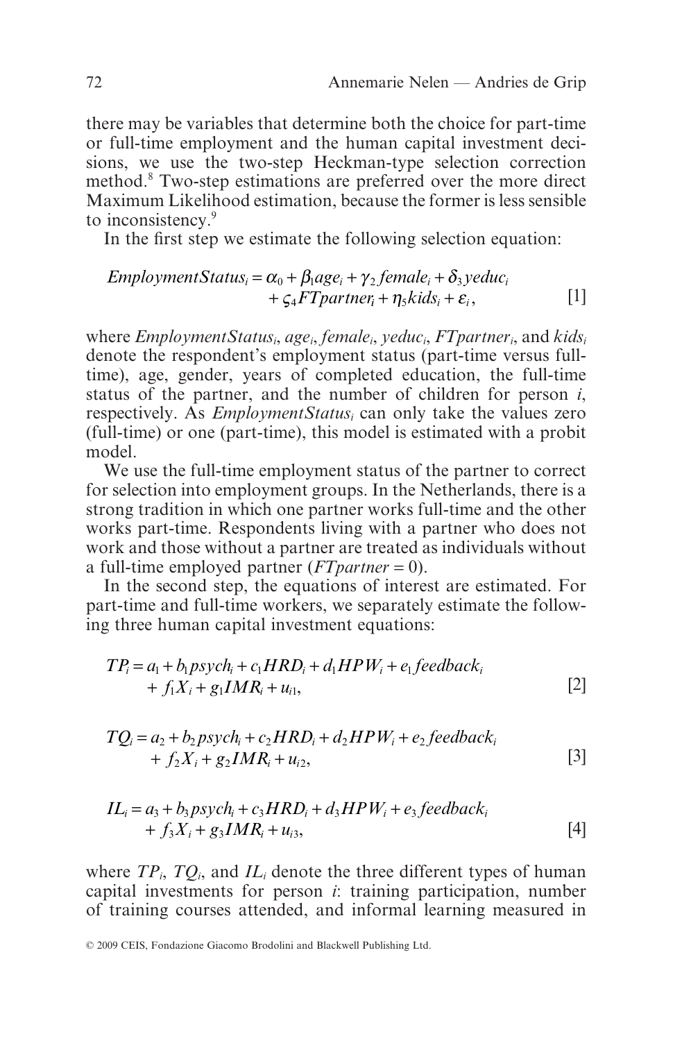there may be variables that determine both the choice for part-time or full-time employment and the human capital investment decisions, we use the two-step Heckman-type selection correction method.8 Two-step estimations are preferred over the more direct Maximum Likelihood estimation, because the former is less sensible to inconsistency.<sup>9</sup>

In the first step we estimate the following selection equation:

$$
Employment Status_i = \alpha_0 + \beta_1 age_i + \gamma_2 female_i + \delta_3 yeduc_i
$$
  
+  $\zeta_4 FT partner_i + \eta_5 kids_i + \varepsilon_i$ , [1]

where *EmploymentStatusi*, *agei*, *femalei*, *yeduci*, *FTpartneri*, and *kidsi* denote the respondent's employment status (part-time versus fulltime), age, gender, years of completed education, the full-time status of the partner, and the number of children for person *i*, respectively. As *EmploymentStatusi* can only take the values zero (full-time) or one (part-time), this model is estimated with a probit model.

We use the full-time employment status of the partner to correct for selection into employment groups. In the Netherlands, there is a strong tradition in which one partner works full-time and the other works part-time. Respondents living with a partner who does not work and those without a partner are treated as individuals without a full-time employed partner (*FTpartner* = 0).

In the second step, the equations of interest are estimated. For part-time and full-time workers, we separately estimate the following three human capital investment equations:

$$
TP_i = a_1 + b_1 p s y ch_i + c_1 H R D_i + d_1 H P W_i + e_1 f e e d b a c k_i
$$
  
+  $f_1 X_i + g_1 I M R_i + u_{i1}$ , [2]

$$
TQ_i = a_2 + b_2 p s y ch_i + c_2 H R D_i + d_2 H P W_i + e_2 f e e d b a c k_i
$$
  
+  $f_2 X_i + g_2 I M R_i + u_{i2}$ , [3]

$$
IL_i = a_3 + b_3 p s y ch_i + c_3 H R D_i + d_3 H P W_i + e_3 f e e db ac k_i
$$
  
+  $f_3 X_i + g_3 I M R_i + u_{i3}$ , [4]

where  $TP_i$ ,  $TO_i$ , and  $IL_i$  denote the three different types of human capital investments for person *i*: training participation, number of training courses attended, and informal learning measured in

<sup>© 2009</sup> CEIS, Fondazione Giacomo Brodolini and Blackwell Publishing Ltd.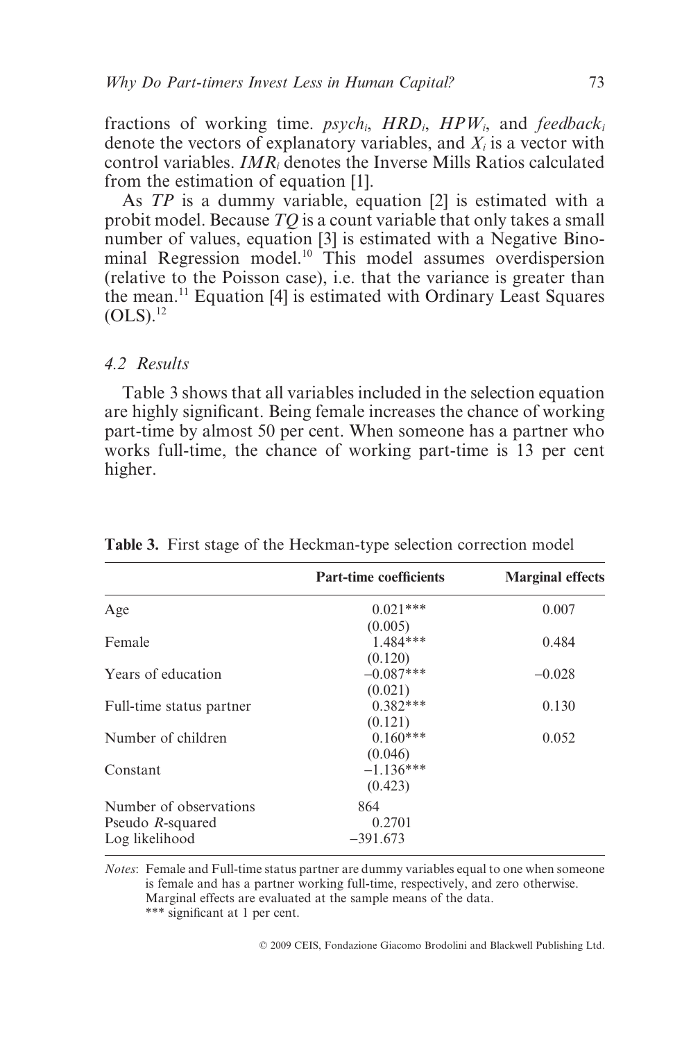fractions of working time. *psychi*, *HRDi*, *HPWi*, and *feedbacki* denote the vectors of explanatory variables, and *Xi* is a vector with control variables. *IMRi* denotes the Inverse Mills Ratios calculated from the estimation of equation [1].

As *TP* is a dummy variable, equation [2] is estimated with a probit model. Because *TQ* is a count variable that only takes a small number of values, equation [3] is estimated with a Negative Binominal Regression model.<sup>10</sup> This model assumes overdispersion (relative to the Poisson case), i.e. that the variance is greater than the mean.11 Equation [4] is estimated with Ordinary Least Squares  $(OLS).$ <sup>12</sup>

## *4.2 Results*

Table 3 shows that all variables included in the selection equation are highly significant. Being female increases the chance of working part-time by almost 50 per cent. When someone has a partner who works full-time, the chance of working part-time is 13 per cent higher.

|                          | <b>Part-time coefficients</b> | <b>Marginal effects</b> |
|--------------------------|-------------------------------|-------------------------|
| Age                      | $0.021***$                    | 0.007                   |
|                          | (0.005)                       |                         |
| Female                   | $1.484***$                    | 0.484                   |
|                          | (0.120)                       |                         |
| Years of education       | $-0.087***$                   | $-0.028$                |
|                          | (0.021)                       |                         |
| Full-time status partner | $0.382***$                    | 0.130                   |
|                          | (0.121)                       |                         |
| Number of children       | $0.160***$                    | 0.052                   |
|                          | (0.046)                       |                         |
| Constant                 | $-1.136***$                   |                         |
|                          | (0.423)                       |                         |
| Number of observations   | 864                           |                         |
| Pseudo R-squared         | 0.2701                        |                         |
| Log likelihood           | $-391.673$                    |                         |

**Table 3.** First stage of the Heckman-type selection correction model

*Notes*: Female and Full-time status partner are dummy variables equal to one when someone is female and has a partner working full-time, respectively, and zero otherwise. Marginal effects are evaluated at the sample means of the data. \*\*\* significant at 1 per cent.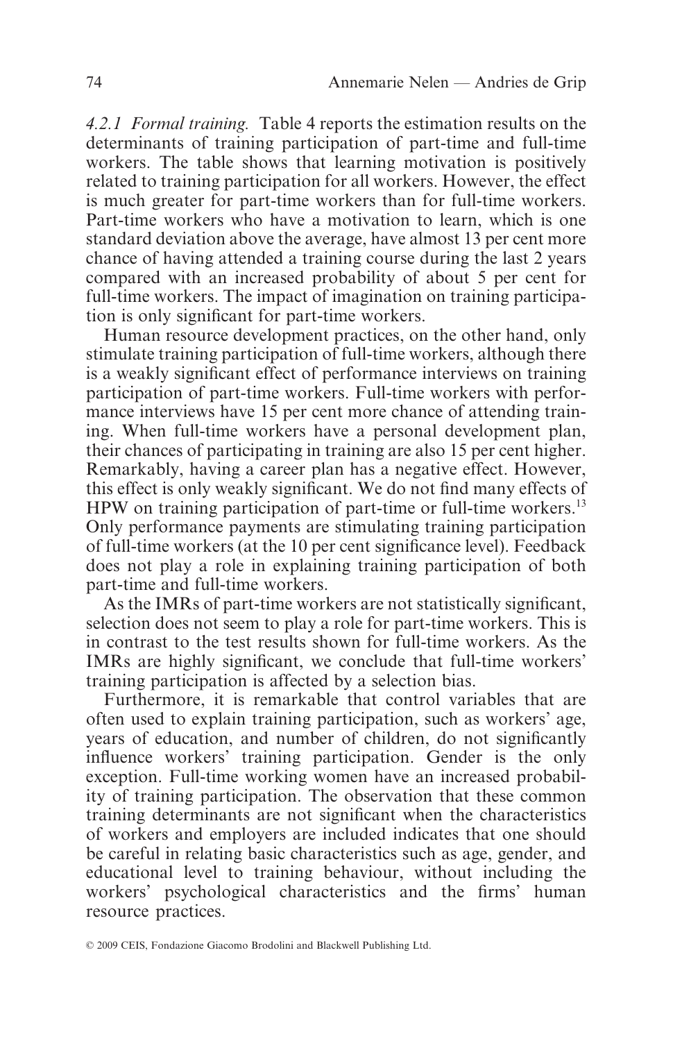*4.2.1 Formal training.* Table 4 reports the estimation results on the determinants of training participation of part-time and full-time workers. The table shows that learning motivation is positively related to training participation for all workers. However, the effect is much greater for part-time workers than for full-time workers. Part-time workers who have a motivation to learn, which is one standard deviation above the average, have almost 13 per cent more chance of having attended a training course during the last 2 years compared with an increased probability of about 5 per cent for full-time workers. The impact of imagination on training participation is only significant for part-time workers.

Human resource development practices, on the other hand, only stimulate training participation of full-time workers, although there is a weakly significant effect of performance interviews on training participation of part-time workers. Full-time workers with performance interviews have 15 per cent more chance of attending training. When full-time workers have a personal development plan, their chances of participating in training are also 15 per cent higher. Remarkably, having a career plan has a negative effect. However, this effect is only weakly significant. We do not find many effects of HPW on training participation of part-time or full-time workers.<sup>13</sup> Only performance payments are stimulating training participation of full-time workers (at the 10 per cent significance level). Feedback does not play a role in explaining training participation of both part-time and full-time workers.

As the IMRs of part-time workers are not statistically significant, selection does not seem to play a role for part-time workers. This is in contrast to the test results shown for full-time workers. As the IMRs are highly significant, we conclude that full-time workers' training participation is affected by a selection bias.

Furthermore, it is remarkable that control variables that are often used to explain training participation, such as workers' age, years of education, and number of children, do not significantly influence workers' training participation. Gender is the only exception. Full-time working women have an increased probability of training participation. The observation that these common training determinants are not significant when the characteristics of workers and employers are included indicates that one should be careful in relating basic characteristics such as age, gender, and educational level to training behaviour, without including the workers' psychological characteristics and the firms' human resource practices.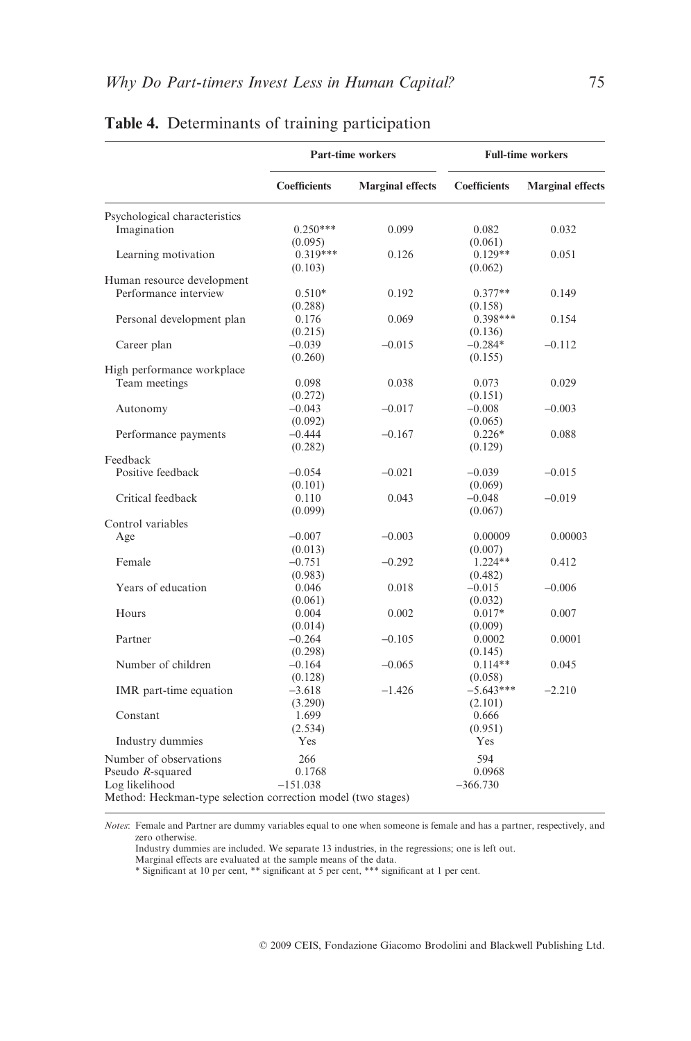|                                                              | <b>Part-time workers</b> |                         | <b>Full-time workers</b> |                         |
|--------------------------------------------------------------|--------------------------|-------------------------|--------------------------|-------------------------|
|                                                              | <b>Coefficients</b>      | <b>Marginal effects</b> | <b>Coefficients</b>      | <b>Marginal effects</b> |
| Psychological characteristics                                |                          |                         |                          |                         |
| Imagination                                                  | $0.250***$               | 0.099                   | 0.082                    | 0.032                   |
|                                                              | (0.095)                  |                         | (0.061)                  |                         |
| Learning motivation                                          | 0.319***                 | 0.126                   | $0.129**$                | 0.051                   |
|                                                              | (0.103)                  |                         | (0.062)                  |                         |
| Human resource development                                   |                          |                         |                          |                         |
| Performance interview                                        | $0.510*$                 | 0.192                   | $0.377**$                | 0.149                   |
|                                                              | (0.288)                  |                         | (0.158)                  |                         |
| Personal development plan                                    | 0.176                    | 0.069                   | $0.398***$               | 0.154                   |
|                                                              | (0.215)                  |                         | (0.136)                  |                         |
| Career plan                                                  | $-0.039$                 | $-0.015$                | $-0.284*$                | $-0.112$                |
|                                                              | (0.260)                  |                         | (0.155)                  |                         |
| High performance workplace                                   |                          |                         |                          |                         |
| Team meetings                                                | 0.098                    | 0.038                   | 0.073                    | 0.029                   |
|                                                              | (0.272)                  |                         | (0.151)                  |                         |
| Autonomy                                                     | $-0.043$                 | $-0.017$                | $-0.008$                 | $-0.003$                |
|                                                              | (0.092)                  |                         | (0.065)                  |                         |
| Performance payments                                         | $-0.444$                 | $-0.167$                | $0.226*$                 | 0.088                   |
|                                                              | (0.282)                  |                         | (0.129)                  |                         |
| Feedback                                                     |                          |                         |                          |                         |
| Positive feedback                                            | $-0.054$                 | $-0.021$                | $-0.039$                 | $-0.015$                |
|                                                              | (0.101)                  |                         | (0.069)                  |                         |
| Critical feedback                                            | 0.110                    | 0.043                   | $-0.048$                 | $-0.019$                |
|                                                              | (0.099)                  |                         | (0.067)                  |                         |
| Control variables                                            |                          |                         |                          |                         |
| Age                                                          | $-0.007$                 | $-0.003$                | 0.00009                  | 0.00003                 |
|                                                              | (0.013)                  |                         | (0.007)                  |                         |
| Female                                                       | $-0.751$                 | $-0.292$                | $1.224**$                | 0.412                   |
|                                                              | (0.983)                  |                         | (0.482)                  |                         |
| Years of education                                           | 0.046                    | 0.018                   | $-0.015$                 | $-0.006$                |
|                                                              | (0.061)                  |                         | (0.032)                  |                         |
| Hours                                                        | 0.004                    | 0.002                   | $0.017*$                 | 0.007                   |
|                                                              | (0.014)                  |                         | (0.009)                  |                         |
| Partner                                                      | $-0.264$                 | $-0.105$                | 0.0002                   | 0.0001                  |
|                                                              | (0.298)                  |                         | (0.145)                  |                         |
| Number of children                                           | $-0.164$                 | $-0.065$                | $0.114**$                | 0.045                   |
|                                                              | (0.128)                  |                         | (0.058)                  |                         |
| IMR part-time equation                                       | $-3.618$                 | $-1.426$                | $-5.643***$              | $-2.210$                |
|                                                              | (3.290)                  |                         | (2.101)                  |                         |
| Constant                                                     | 1.699                    |                         | 0.666                    |                         |
|                                                              | (2.534)                  |                         | (0.951)                  |                         |
| Industry dummies                                             | Yes                      |                         | Yes                      |                         |
| Number of observations                                       | 266                      |                         | 594                      |                         |
| Pseudo R-squared                                             | 0.1768                   |                         | 0.0968                   |                         |
| Log likelihood                                               | $-151.038$               |                         | $-366.730$               |                         |
| Method: Heckman-type selection correction model (two stages) |                          |                         |                          |                         |

## **Table 4.** Determinants of training participation

*Notes*: Female and Partner are dummy variables equal to one when someone is female and has a partner, respectively, and zero otherwise.

Industry dummies are included. We separate 13 industries, in the regressions; one is left out.<br>Marginal effects are evaluated at the sample means of the data.<br>\* Significant at 10 per cent, \*\* significant at 5 per cent, \*\*\*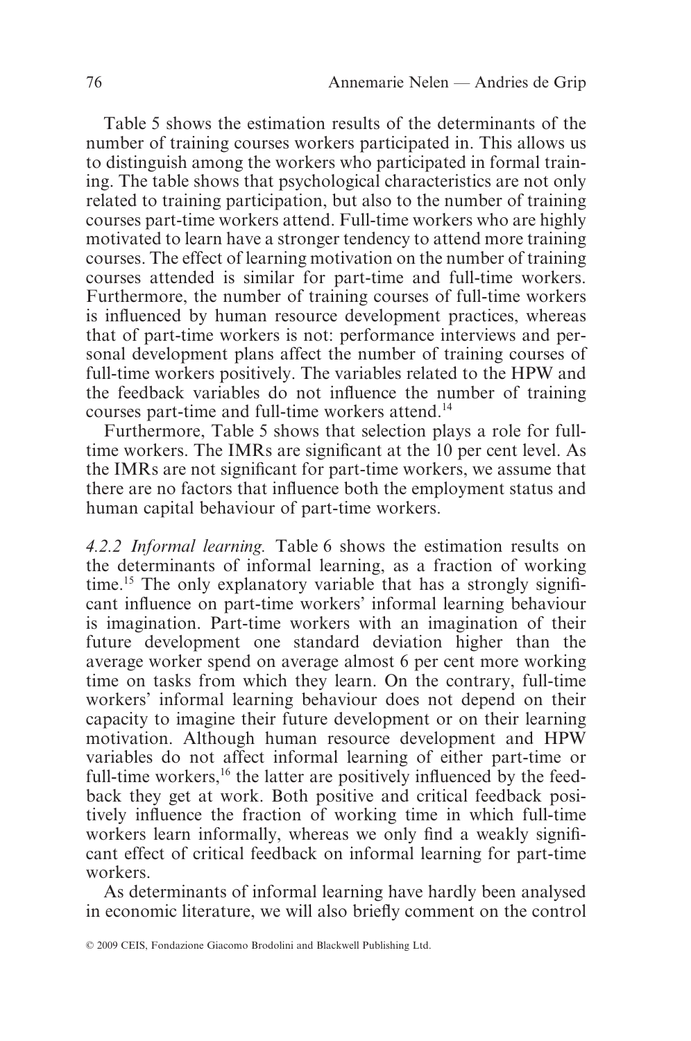Table 5 shows the estimation results of the determinants of the number of training courses workers participated in. This allows us to distinguish among the workers who participated in formal training. The table shows that psychological characteristics are not only related to training participation, but also to the number of training courses part-time workers attend. Full-time workers who are highly motivated to learn have a stronger tendency to attend more training courses. The effect of learning motivation on the number of training courses attended is similar for part-time and full-time workers. Furthermore, the number of training courses of full-time workers is influenced by human resource development practices, whereas that of part-time workers is not: performance interviews and personal development plans affect the number of training courses of full-time workers positively. The variables related to the HPW and the feedback variables do not influence the number of training courses part-time and full-time workers attend.14

Furthermore, Table 5 shows that selection plays a role for fulltime workers. The IMRs are significant at the 10 per cent level. As the IMRs are not significant for part-time workers, we assume that there are no factors that influence both the employment status and human capital behaviour of part-time workers.

*4.2.2 Informal learning.* Table 6 shows the estimation results on the determinants of informal learning, as a fraction of working time.15 The only explanatory variable that has a strongly significant influence on part-time workers' informal learning behaviour is imagination. Part-time workers with an imagination of their future development one standard deviation higher than the average worker spend on average almost 6 per cent more working time on tasks from which they learn. On the contrary, full-time workers' informal learning behaviour does not depend on their capacity to imagine their future development or on their learning motivation. Although human resource development and HPW variables do not affect informal learning of either part-time or full-time workers, $16$  the latter are positively influenced by the feedback they get at work. Both positive and critical feedback positively influence the fraction of working time in which full-time workers learn informally, whereas we only find a weakly significant effect of critical feedback on informal learning for part-time workers.

As determinants of informal learning have hardly been analysed in economic literature, we will also briefly comment on the control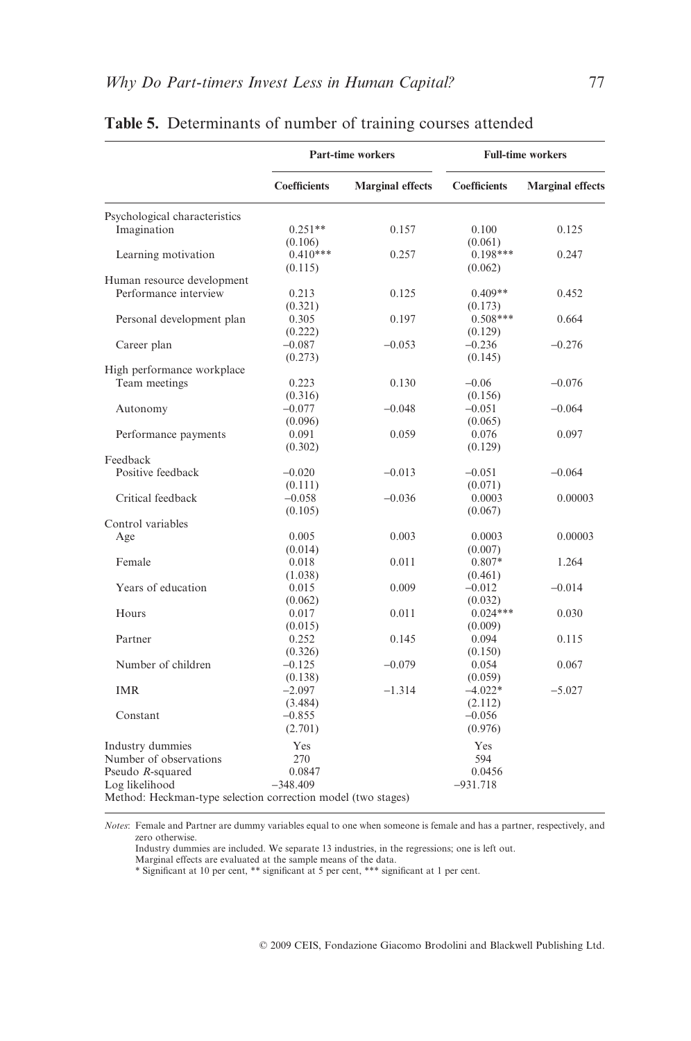|                                                              |                       | <b>Part-time workers</b> |                       | <b>Full-time workers</b> |  |
|--------------------------------------------------------------|-----------------------|--------------------------|-----------------------|--------------------------|--|
|                                                              | <b>Coefficients</b>   | <b>Marginal effects</b>  | <b>Coefficients</b>   | <b>Marginal effects</b>  |  |
| Psychological characteristics                                |                       |                          |                       |                          |  |
| Imagination                                                  | $0.251**$<br>(0.106)  | 0.157                    | 0.100<br>(0.061)      | 0.125                    |  |
| Learning motivation                                          | $0.410***$<br>(0.115) | 0.257                    | $0.198***$<br>(0.062) | 0.247                    |  |
| Human resource development                                   |                       |                          |                       |                          |  |
| Performance interview                                        | 0.213<br>(0.321)      | 0.125                    | $0.409**$<br>(0.173)  | 0.452                    |  |
| Personal development plan                                    | 0.305<br>(0.222)      | 0.197                    | $0.508***$<br>(0.129) | 0.664                    |  |
| Career plan                                                  | $-0.087$<br>(0.273)   | $-0.053$                 | $-0.236$<br>(0.145)   | $-0.276$                 |  |
| High performance workplace                                   |                       |                          |                       |                          |  |
| Team meetings                                                | 0.223<br>(0.316)      | 0.130                    | $-0.06$<br>(0.156)    | $-0.076$                 |  |
| Autonomy                                                     | $-0.077$<br>(0.096)   | $-0.048$                 | $-0.051$<br>(0.065)   | $-0.064$                 |  |
| Performance payments                                         | 0.091<br>(0.302)      | 0.059                    | 0.076<br>(0.129)      | 0.097                    |  |
| Feedback                                                     |                       |                          |                       |                          |  |
| Positive feedback                                            | $-0.020$<br>(0.111)   | $-0.013$                 | $-0.051$<br>(0.071)   | $-0.064$                 |  |
| Critical feedback                                            | $-0.058$              | $-0.036$                 | 0.0003                | 0.00003                  |  |
| Control variables                                            | (0.105)               |                          | (0.067)               |                          |  |
| Age                                                          | 0.005                 | 0.003                    | 0.0003                | 0.00003                  |  |
|                                                              | (0.014)               |                          | (0.007)               |                          |  |
| Female                                                       | 0.018<br>(1.038)      | 0.011                    | $0.807*$<br>(0.461)   | 1.264                    |  |
| Years of education                                           | 0.015<br>(0.062)      | 0.009                    | $-0.012$<br>(0.032)   | $-0.014$                 |  |
| Hours                                                        | 0.017<br>(0.015)      | 0.011                    | $0.024***$<br>(0.009) | 0.030                    |  |
| Partner                                                      | 0.252<br>(0.326)      | 0.145                    | 0.094<br>(0.150)      | 0.115                    |  |
| Number of children                                           | $-0.125$<br>(0.138)   | $-0.079$                 | 0.054<br>(0.059)      | 0.067                    |  |
| <b>IMR</b>                                                   | $-2.097$<br>(3.484)   | $-1.314$                 | $-4.022*$<br>(2.112)  | $-5.027$                 |  |
| Constant                                                     | $-0.855$<br>(2.701)   |                          | $-0.056$<br>(0.976)   |                          |  |
| Industry dummies<br>Number of observations                   | Yes<br>270            |                          | Yes<br>594            |                          |  |
| Pseudo R-squared                                             | 0.0847                |                          | 0.0456                |                          |  |
| Log likelihood                                               | $-348.409$            |                          | $-931.718$            |                          |  |
| Method: Heckman-type selection correction model (two stages) |                       |                          |                       |                          |  |

## **Table 5.** Determinants of number of training courses attended

*Notes*: Female and Partner are dummy variables equal to one when someone is female and has a partner, respectively, and zero otherwise.

Industry dummies are included. We separate 13 industries, in the regressions; one is left out.<br>Marginal effects are evaluated at the sample means of the data.<br>\* Significant at 10 per cent, \*\* significant at 5 per cent, \*\*\*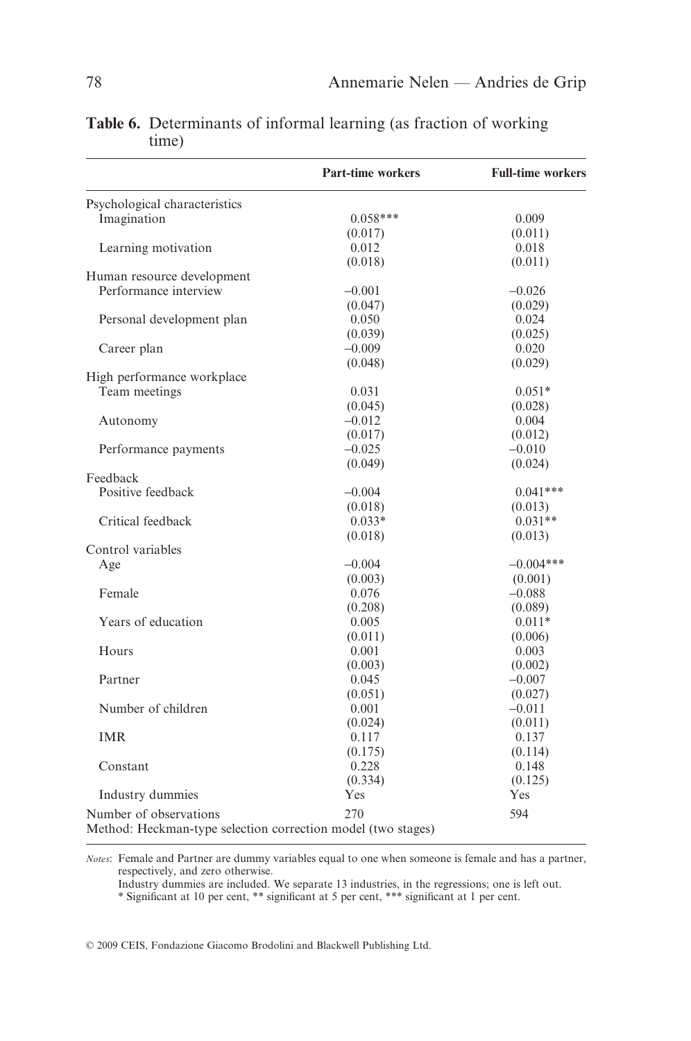|                                                              | <b>Part-time workers</b> | <b>Full-time workers</b> |
|--------------------------------------------------------------|--------------------------|--------------------------|
| Psychological characteristics                                |                          |                          |
| Imagination                                                  | $0.058***$               | 0.009                    |
|                                                              | (0.017)                  | (0.011)                  |
| Learning motivation                                          | 0.012                    | 0.018                    |
|                                                              | (0.018)                  | (0.011)                  |
| Human resource development                                   |                          |                          |
| Performance interview                                        | $-0.001$                 | $-0.026$                 |
|                                                              | (0.047)                  | (0.029)                  |
| Personal development plan                                    | 0.050                    | 0.024                    |
|                                                              | (0.039)                  | (0.025)                  |
| Career plan                                                  | $-0.009$                 | 0.020                    |
|                                                              | (0.048)                  | (0.029)                  |
| High performance workplace                                   |                          |                          |
| Team meetings                                                | 0.031                    | $0.051*$                 |
|                                                              | (0.045)                  | (0.028)                  |
| Autonomy                                                     | $-0.012$                 | 0.004                    |
|                                                              | (0.017)                  | (0.012)                  |
| Performance payments                                         | $-0.025$                 | $-0.010$                 |
|                                                              | (0.049)                  | (0.024)                  |
| Feedback                                                     |                          |                          |
| Positive feedback                                            | $-0.004$                 | $0.041***$               |
|                                                              | (0.018)                  | (0.013)                  |
| Critical feedback                                            | $0.033*$                 | $0.031**$                |
|                                                              | (0.018)                  | (0.013)                  |
| Control variables                                            |                          |                          |
| Age                                                          | $-0.004$                 | $-0.004***$              |
|                                                              | (0.003)                  | (0.001)                  |
| Female                                                       | 0.076                    | $-0.088$                 |
|                                                              | (0.208)                  | (0.089)                  |
| Years of education                                           | 0.005                    | $0.011*$                 |
|                                                              | (0.011)                  | (0.006)                  |
| Hours                                                        | 0.001                    | 0.003                    |
|                                                              | (0.003)                  | (0.002)                  |
| Partner                                                      | 0.045                    | $-0.007$                 |
|                                                              | (0.051)                  | (0.027)                  |
| Number of children                                           | 0.001                    | $-0.011$                 |
|                                                              | (0.024)                  | (0.011)                  |
| <b>IMR</b>                                                   | 0.117                    | 0.137                    |
|                                                              | (0.175)                  | (0.114)                  |
| Constant                                                     | 0.228                    | 0.148                    |
|                                                              | (0.334)                  | (0.125)                  |
| Industry dummies                                             | Yes                      | Yes                      |
|                                                              |                          |                          |
| Number of observations                                       | 270                      | 594                      |
| Method: Heckman-type selection correction model (two stages) |                          |                          |

**Table 6.** Determinants of informal learning (as fraction of working time)

*Notes*: Female and Partner are dummy variables equal to one when someone is female and has a partner, respectively, and zero otherwise.

Industry dummies are included. We separate 13 industries, in the regressions; one is left out.

\* Significant at 10 per cent, \*\* significant at 5 per cent, \*\*\* significant at 1 per cent.

© 2009 CEIS, Fondazione Giacomo Brodolini and Blackwell Publishing Ltd.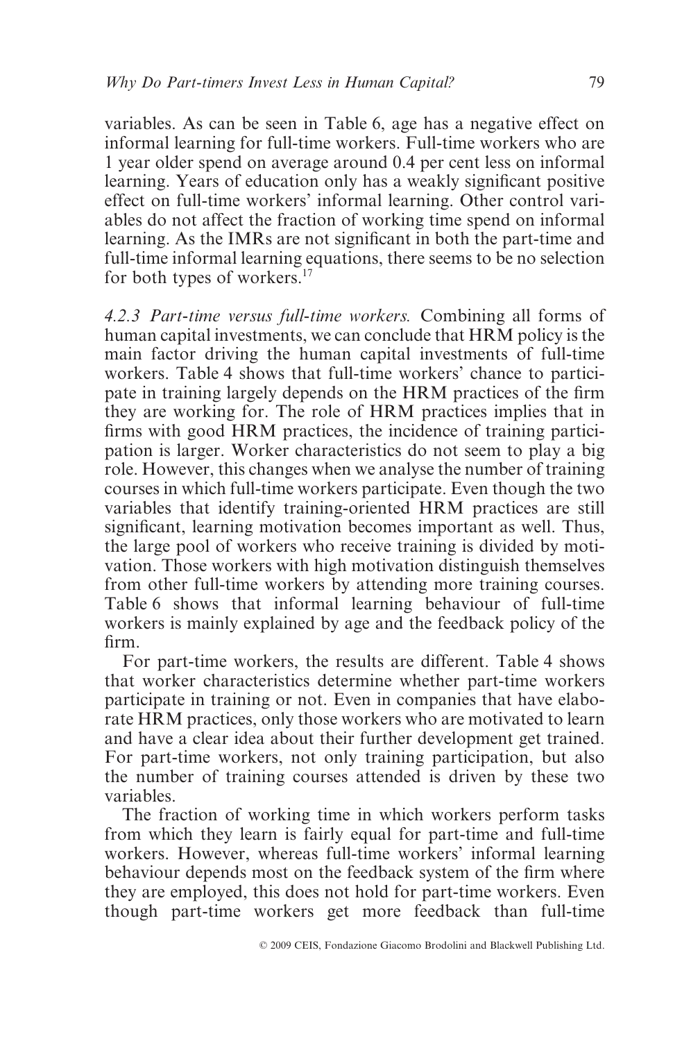variables. As can be seen in Table 6, age has a negative effect on informal learning for full-time workers. Full-time workers who are 1 year older spend on average around 0.4 per cent less on informal learning. Years of education only has a weakly significant positive effect on full-time workers' informal learning. Other control variables do not affect the fraction of working time spend on informal learning. As the IMRs are not significant in both the part-time and full-time informal learning equations, there seems to be no selection for both types of workers.<sup>17</sup>

*4.2.3 Part-time versus full-time workers.* Combining all forms of human capital investments, we can conclude that HRM policy is the main factor driving the human capital investments of full-time workers. Table 4 shows that full-time workers' chance to participate in training largely depends on the HRM practices of the firm they are working for. The role of HRM practices implies that in firms with good HRM practices, the incidence of training participation is larger. Worker characteristics do not seem to play a big role. However, this changes when we analyse the number of training courses in which full-time workers participate. Even though the two variables that identify training-oriented HRM practices are still significant, learning motivation becomes important as well. Thus, the large pool of workers who receive training is divided by motivation. Those workers with high motivation distinguish themselves from other full-time workers by attending more training courses. Table 6 shows that informal learning behaviour of full-time workers is mainly explained by age and the feedback policy of the firm.

For part-time workers, the results are different. Table 4 shows that worker characteristics determine whether part-time workers participate in training or not. Even in companies that have elaborate HRM practices, only those workers who are motivated to learn and have a clear idea about their further development get trained. For part-time workers, not only training participation, but also the number of training courses attended is driven by these two variables.

The fraction of working time in which workers perform tasks from which they learn is fairly equal for part-time and full-time workers. However, whereas full-time workers' informal learning behaviour depends most on the feedback system of the firm where they are employed, this does not hold for part-time workers. Even though part-time workers get more feedback than full-time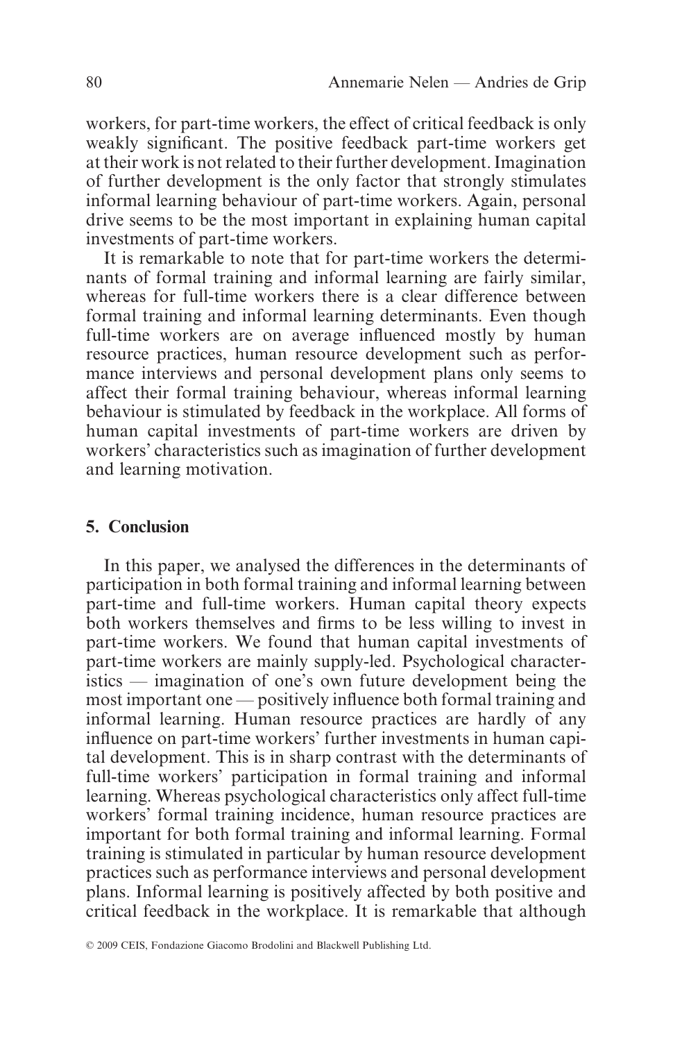workers, for part-time workers, the effect of critical feedback is only weakly significant. The positive feedback part-time workers get at their work is not related to their further development. Imagination of further development is the only factor that strongly stimulates informal learning behaviour of part-time workers. Again, personal drive seems to be the most important in explaining human capital investments of part-time workers.

It is remarkable to note that for part-time workers the determinants of formal training and informal learning are fairly similar, whereas for full-time workers there is a clear difference between formal training and informal learning determinants. Even though full-time workers are on average influenced mostly by human resource practices, human resource development such as performance interviews and personal development plans only seems to affect their formal training behaviour, whereas informal learning behaviour is stimulated by feedback in the workplace. All forms of human capital investments of part-time workers are driven by workers' characteristics such as imagination of further development and learning motivation.

## **5. Conclusion**

In this paper, we analysed the differences in the determinants of participation in both formal training and informal learning between part-time and full-time workers. Human capital theory expects both workers themselves and firms to be less willing to invest in part-time workers. We found that human capital investments of part-time workers are mainly supply-led. Psychological characteristics — imagination of one's own future development being the most important one — positively influence both formal training and informal learning. Human resource practices are hardly of any influence on part-time workers' further investments in human capital development. This is in sharp contrast with the determinants of full-time workers' participation in formal training and informal learning. Whereas psychological characteristics only affect full-time workers' formal training incidence, human resource practices are important for both formal training and informal learning. Formal training is stimulated in particular by human resource development practices such as performance interviews and personal development plans. Informal learning is positively affected by both positive and critical feedback in the workplace. It is remarkable that although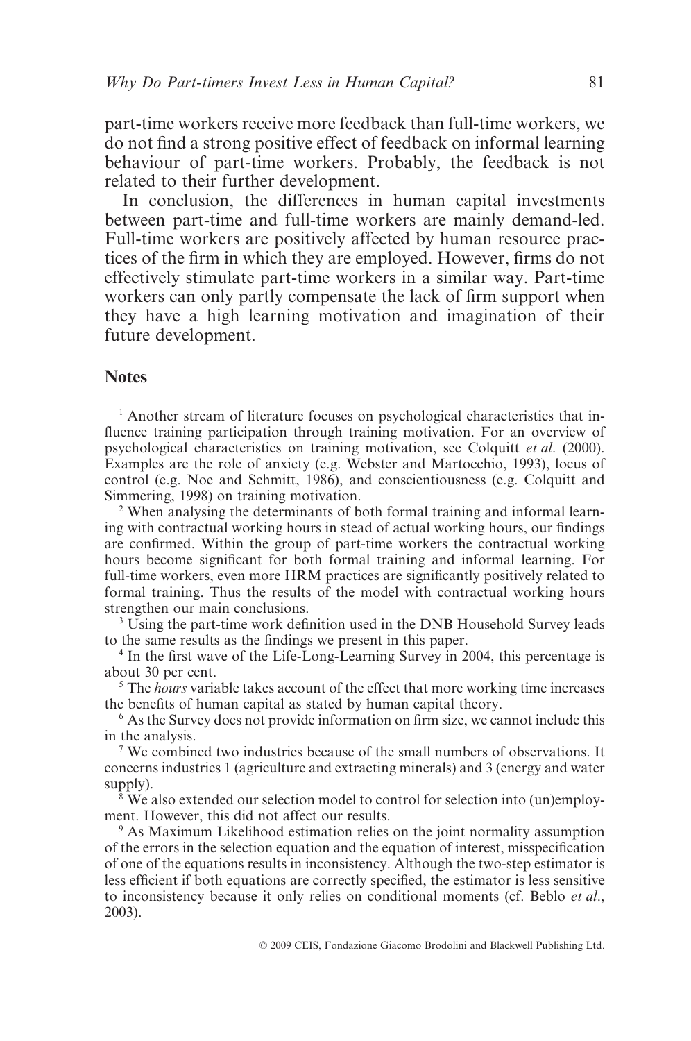part-time workers receive more feedback than full-time workers, we do not find a strong positive effect of feedback on informal learning behaviour of part-time workers. Probably, the feedback is not related to their further development.

In conclusion, the differences in human capital investments between part-time and full-time workers are mainly demand-led. Full-time workers are positively affected by human resource practices of the firm in which they are employed. However, firms do not effectively stimulate part-time workers in a similar way. Part-time workers can only partly compensate the lack of firm support when they have a high learning motivation and imagination of their future development.

## **Notes**

<sup>1</sup> Another stream of literature focuses on psychological characteristics that influence training participation through training motivation. For an overview of psychological characteristics on training motivation, see Colquitt *et al*. (2000). Examples are the role of anxiety (e.g. Webster and Martocchio, 1993), locus of control (e.g. Noe and Schmitt, 1986), and conscientiousness (e.g. Colquitt and Simmering, 1998) on training motivation.

<sup>2</sup> When analysing the determinants of both formal training and informal learning with contractual working hours in stead of actual working hours, our findings are confirmed. Within the group of part-time workers the contractual working hours become significant for both formal training and informal learning. For full-time workers, even more HRM practices are significantly positively related to formal training. Thus the results of the model with contractual working hours strengthen our main conclusions.

<sup>3</sup> Using the part-time work definition used in the DNB Household Survey leads to the same results as the findings we present in this paper.

<sup>4</sup> In the first wave of the Life-Long-Learning Survey in 2004, this percentage is about 30 per cent.

<sup>5</sup> The *hours* variable takes account of the effect that more working time increases the benefits of human capital as stated by human capital theory.

<sup>6</sup> As the Survey does not provide information on firm size, we cannot include this in the analysis.

<sup>7</sup> We combined two industries because of the small numbers of observations. It concerns industries 1 (agriculture and extracting minerals) and 3 (energy and water supply).

<sup>8</sup> We also extended our selection model to control for selection into (un)employment. However, this did not affect our results.

<sup>9</sup> As Maximum Likelihood estimation relies on the joint normality assumption of the errors in the selection equation and the equation of interest, misspecification of one of the equations results in inconsistency. Although the two-step estimator is less efficient if both equations are correctly specified, the estimator is less sensitive to inconsistency because it only relies on conditional moments (cf. Beblo *et al*., 2003).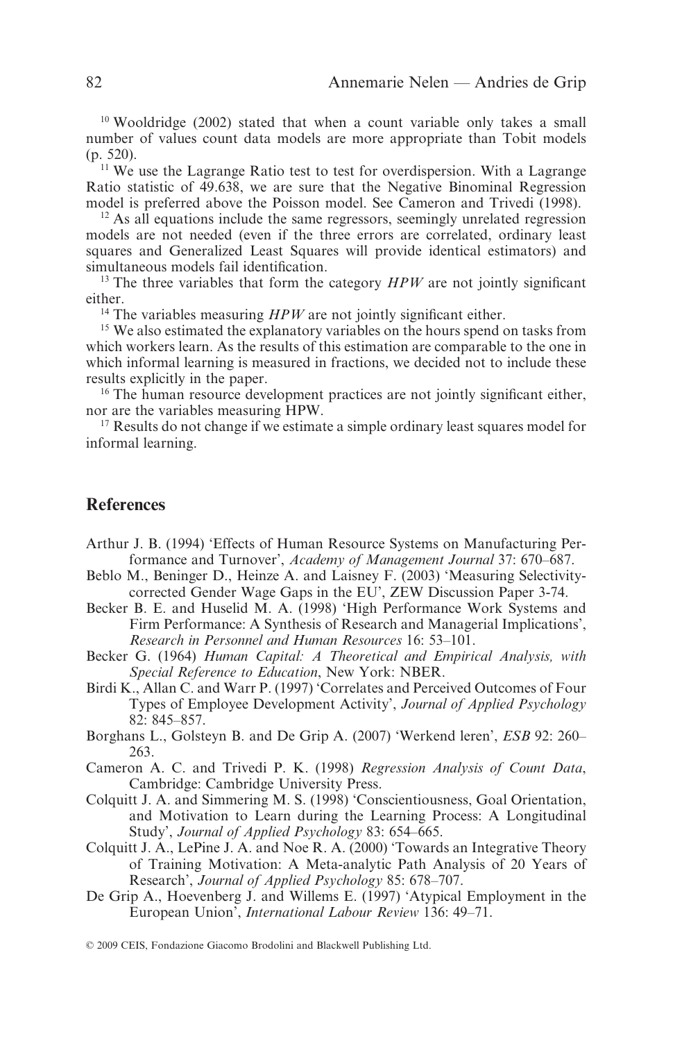<sup>10</sup> Wooldridge (2002) stated that when a count variable only takes a small number of values count data models are more appropriate than Tobit models (p. 520).

<sup>11</sup> We use the Lagrange Ratio test to test for overdispersion. With a Lagrange Ratio statistic of 49.638, we are sure that the Negative Binominal Regression model is preferred above the Poisson model. See Cameron and Trivedi (1998).

<sup>12</sup> As all equations include the same regressors, seemingly unrelated regression models are not needed (even if the three errors are correlated, ordinary least squares and Generalized Least Squares will provide identical estimators) and simultaneous models fail identification.

<sup>13</sup> The three variables that form the category  $HPW$  are not jointly significant either.

<sup>14</sup> The variables measuring *HPW* are not jointly significant either.

<sup>15</sup> We also estimated the explanatory variables on the hours spend on tasks from which workers learn. As the results of this estimation are comparable to the one in which informal learning is measured in fractions, we decided not to include these results explicitly in the paper.

<sup>16</sup> The human resource development practices are not jointly significant either, nor are the variables measuring HPW.

<sup>17</sup> Results do not change if we estimate a simple ordinary least squares model for informal learning.

## **References**

- Arthur J. B. (1994) 'Effects of Human Resource Systems on Manufacturing Performance and Turnover', *Academy of Management Journal* 37: 670–687.
- Beblo M., Beninger D., Heinze A. and Laisney F. (2003) 'Measuring Selectivitycorrected Gender Wage Gaps in the EU', ZEW Discussion Paper 3-74.
- Becker B. E. and Huselid M. A. (1998) 'High Performance Work Systems and Firm Performance: A Synthesis of Research and Managerial Implications', *Research in Personnel and Human Resources* 16: 53–101.
- Becker G. (1964) *Human Capital: A Theoretical and Empirical Analysis, with Special Reference to Education*, New York: NBER.
- Birdi K., Allan C. and Warr P. (1997) 'Correlates and Perceived Outcomes of Four Types of Employee Development Activity', *Journal of Applied Psychology* 82: 845–857.
- Borghans L., Golsteyn B. and De Grip A. (2007) 'Werkend leren', *ESB* 92: 260– 263.
- Cameron A. C. and Trivedi P. K. (1998) *Regression Analysis of Count Data*, Cambridge: Cambridge University Press.
- Colquitt J. A. and Simmering M. S. (1998) 'Conscientiousness, Goal Orientation, and Motivation to Learn during the Learning Process: A Longitudinal Study', *Journal of Applied Psychology* 83: 654–665.
- Colquitt J. A., LePine J. A. and Noe R. A. (2000) 'Towards an Integrative Theory of Training Motivation: A Meta-analytic Path Analysis of 20 Years of Research', *Journal of Applied Psychology* 85: 678–707.
- De Grip A., Hoevenberg J. and Willems E. (1997) 'Atypical Employment in the European Union', *International Labour Review* 136: 49–71.

© 2009 CEIS, Fondazione Giacomo Brodolini and Blackwell Publishing Ltd.